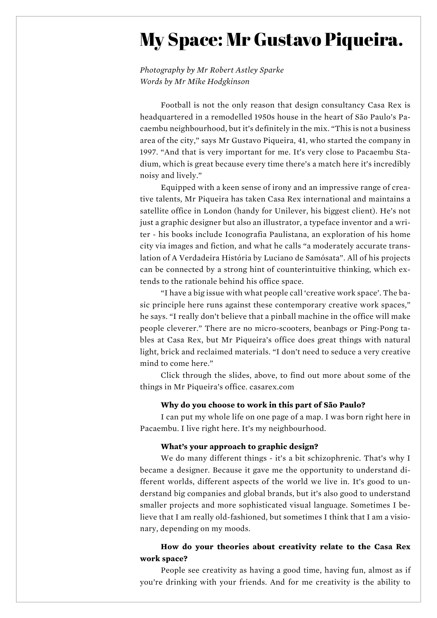# My Space: Mr Gustavo Piqueira.

*Photography by Mr Robert Astley Sparke Words by Mr Mike Hodgkinson*

Football is not the only reason that design consultancy Casa Rex is headquartered in a remodelled 1950s house in the heart of São Paulo's Pacaembu neighbourhood, but it's definitely in the mix. "This is not a business area of the city," says Mr Gustavo Piqueira, 41, who started the company in 1997. "And that is very important for me. It's very close to Pacaembu Stadium, which is great because every time there's a match here it's incredibly noisy and lively."

Equipped with a keen sense of irony and an impressive range of creative talents, Mr Piqueira has taken Casa Rex international and maintains a satellite office in London (handy for Unilever, his biggest client). He's not just a graphic designer but also an illustrator, a typeface inventor and a writer - his books include Iconografia Paulistana, an exploration of his home city via images and fiction, and what he calls "a moderately accurate translation of A Verdadeira História by Luciano de Samósata". All of his projects can be connected by a strong hint of counterintuitive thinking, which extends to the rationale behind his office space.

"I have a big issue with what people call 'creative work space'. The basic principle here runs against these contemporary creative work spaces," he says. "I really don't believe that a pinball machine in the office will make people cleverer." There are no micro-scooters, beanbags or Ping-Pong tables at Casa Rex, but Mr Piqueira's office does great things with natural light, brick and reclaimed materials. "I don't need to seduce a very creative mind to come here."

Click through the slides, above, to find out more about some of the things in Mr Piqueira's office. casarex.com

### **Why do you choose to work in this part of São Paulo?**

I can put my whole life on one page of a map. I was born right here in Pacaembu. I live right here. It's my neighbourhood.

## **What's your approach to graphic design?**

We do many different things - it's a bit schizophrenic. That's why I became a designer. Because it gave me the opportunity to understand different worlds, different aspects of the world we live in. It's good to understand big companies and global brands, but it's also good to understand smaller projects and more sophisticated visual language. Sometimes I believe that I am really old-fashioned, but sometimes I think that I am a visionary, depending on my moods.

## **How do your theories about creativity relate to the Casa Rex work space?**

People see creativity as having a good time, having fun, almost as if you're drinking with your friends. And for me creativity is the ability to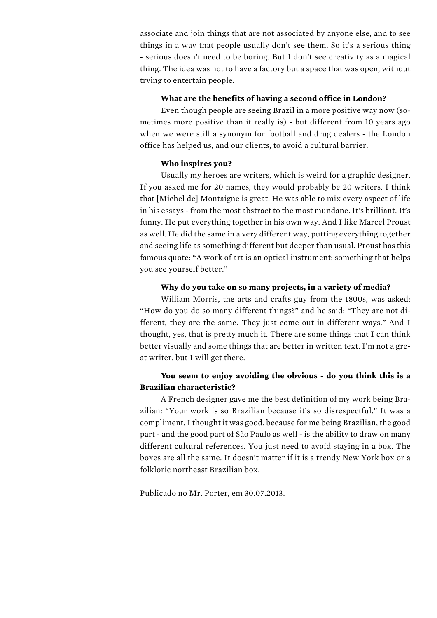associate and join things that are not associated by anyone else, and to see things in a way that people usually don't see them. So it's a serious thing - serious doesn't need to be boring. But I don't see creativity as a magical thing. The idea was not to have a factory but a space that was open, without trying to entertain people.

#### **What are the benefits of having a second office in London?**

Even though people are seeing Brazil in a more positive way now (sometimes more positive than it really is) - but different from 10 years ago when we were still a synonym for football and drug dealers - the London office has helped us, and our clients, to avoid a cultural barrier.

#### **Who inspires you?**

Usually my heroes are writers, which is weird for a graphic designer. If you asked me for 20 names, they would probably be 20 writers. I think that [Michel de] Montaigne is great. He was able to mix every aspect of life in his essays - from the most abstract to the most mundane. It's brilliant. It's funny. He put everything together in his own way. And I like Marcel Proust as well. He did the same in a very different way, putting everything together and seeing life as something different but deeper than usual. Proust has this famous quote: "A work of art is an optical instrument: something that helps you see yourself better."

#### **Why do you take on so many projects, in a variety of media?**

William Morris, the arts and crafts guy from the 1800s, was asked: "How do you do so many different things?" and he said: "They are not different, they are the same. They just come out in different ways." And I thought, yes, that is pretty much it. There are some things that I can think better visually and some things that are better in written text. I'm not a great writer, but I will get there.

## **You seem to enjoy avoiding the obvious - do you think this is a Brazilian characteristic?**

A French designer gave me the best definition of my work being Brazilian: "Your work is so Brazilian because it's so disrespectful." It was a compliment. I thought it was good, because for me being Brazilian, the good part - and the good part of São Paulo as well - is the ability to draw on many different cultural references. You just need to avoid staying in a box. The boxes are all the same. It doesn't matter if it is a trendy New York box or a folkloric northeast Brazilian box.

Publicado no Mr. Porter, em 30.07.2013.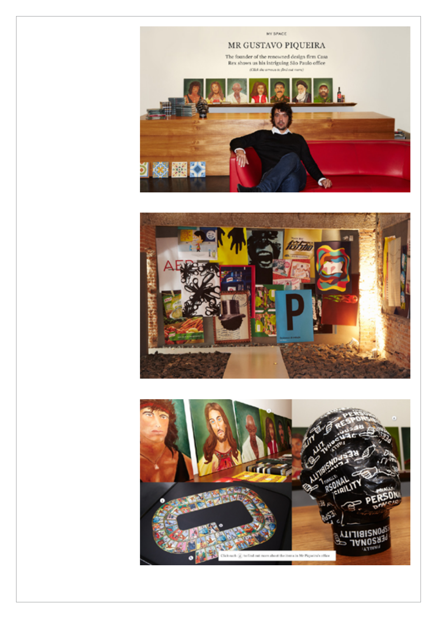